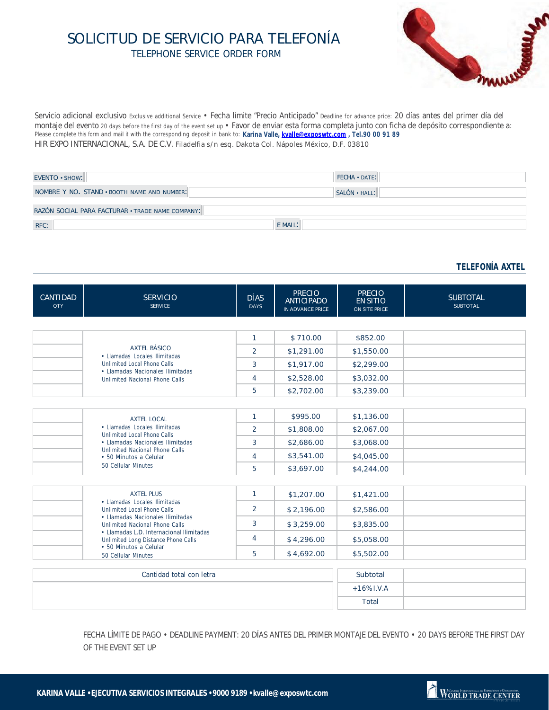## SOLICITUD DE SERVICIO PARA TELEFONÍA TELEPHONE SERVICE ORDER FORM



Servicio adicional exclusivo Exclusive additional Service • Fecha límite "Precio Anticipado" Deadline for advance price: 20 días antes del primer día del montaje del evento 20 days before the first day of the event set up • Favor de enviar esta forma completa junto con ficha de depósito correspondiente a: Please complete this form and mail it with the corresponding deposit in bank to: **Karina Valle, kvalle@exposwtc.com , Tel.90 00 91 89**HIR EXPO INTERNACIONAL, S.A. DE C.V. Filadelfia s/n esq. Dakota Col. Nápoles México, D.F. 03810

| EVENTO · SHOW:                                   | $FECHA · DATE$ : |  |  |  |  |
|--------------------------------------------------|------------------|--|--|--|--|
| NOMBRE Y NO. STAND . BOOTH NAME AND NUMBER:      | SALÓN · HALL:    |  |  |  |  |
| RAZÓN SOCIAL PARA FACTURAR · TRADE NAME COMPANY: |                  |  |  |  |  |
| RFC:                                             | E MAIL:          |  |  |  |  |

## **TELEFONÍA AXTEL**

| <b>CANTIDAD</b><br><b>QTY</b>                 | <b>SERVICIO</b><br><b>SERVICE</b>                                                                                                                                                                                                          | <b>DÍAS</b><br><b>DAYS</b> | <b>PRECIO</b><br><b>ANTICIPADO</b><br>IN ADVANCE PRICE | <b>PRECIO</b><br><b>EN SITIO</b><br>ON SITE PRICE | <b>SUBTOTAL</b><br><b>SUBTOTAL</b> |  |  |
|-----------------------------------------------|--------------------------------------------------------------------------------------------------------------------------------------------------------------------------------------------------------------------------------------------|----------------------------|--------------------------------------------------------|---------------------------------------------------|------------------------------------|--|--|
|                                               |                                                                                                                                                                                                                                            |                            |                                                        |                                                   |                                    |  |  |
|                                               | <b>AXTEL BÁSICO</b><br>• Llamadas Locales Ilimitadas<br>Unlimited Local Phone Calls<br>• Llamadas Nacionales Ilimitadas<br>Unlimited Nacional Phone Calls                                                                                  | $\mathbf{1}$               | \$710.00                                               | \$852.00                                          |                                    |  |  |
|                                               |                                                                                                                                                                                                                                            | 2                          | \$1,291.00                                             | \$1,550.00                                        |                                    |  |  |
|                                               |                                                                                                                                                                                                                                            | 3                          | \$1,917.00                                             | \$2,299.00                                        |                                    |  |  |
|                                               |                                                                                                                                                                                                                                            | $\overline{4}$             | \$2,528.00                                             | \$3,032.00                                        |                                    |  |  |
|                                               |                                                                                                                                                                                                                                            | 5                          | \$2,702.00                                             | \$3,239.00                                        |                                    |  |  |
|                                               |                                                                                                                                                                                                                                            |                            |                                                        |                                                   |                                    |  |  |
|                                               | <b>AXTEL LOCAL</b><br>• Llamadas Locales Ilimitadas<br>Unlimited Local Phone Calls<br>• Llamadas Nacionales Ilimitadas<br>Unlimited Nacional Phone Calls<br>• 50 Minutos a Celular<br>50 Cellular Minutes                                  | $\mathbf{1}$               | \$995.00                                               | \$1,136.00                                        |                                    |  |  |
|                                               |                                                                                                                                                                                                                                            | 2                          | \$1,808.00                                             | \$2,067.00                                        |                                    |  |  |
|                                               |                                                                                                                                                                                                                                            | 3                          | \$2,686.00                                             | \$3,068.00                                        |                                    |  |  |
|                                               |                                                                                                                                                                                                                                            | 4                          | \$3,541.00                                             | \$4,045.00                                        |                                    |  |  |
|                                               |                                                                                                                                                                                                                                            | 5                          | \$3,697.00                                             | \$4,244.00                                        |                                    |  |  |
|                                               |                                                                                                                                                                                                                                            |                            |                                                        |                                                   |                                    |  |  |
|                                               | <b>AXTEL PLUS</b><br>• Llamadas Locales Ilimitadas<br>Unlimited Local Phone Calls<br>• Llamadas Nacionales Ilimitadas<br>Unlimited Nacional Phone Calls<br>• Llamadas L.D. Internacional Ilimitadas<br>Unlimited Long Distance Phone Calls | $\mathbf{1}$               | \$1,207.00                                             | \$1,421.00                                        |                                    |  |  |
|                                               |                                                                                                                                                                                                                                            | 2                          | \$2,196.00                                             | \$2,586.00                                        |                                    |  |  |
|                                               |                                                                                                                                                                                                                                            | 3                          | \$3,259.00                                             | \$3,835.00                                        |                                    |  |  |
|                                               |                                                                                                                                                                                                                                            | 4                          | \$4,296.00                                             | \$5,058.00                                        |                                    |  |  |
| • 50 Minutos a Celular<br>50 Cellular Minutes | 5                                                                                                                                                                                                                                          | \$4,692.00                 | \$5,502.00                                             |                                                   |                                    |  |  |
|                                               |                                                                                                                                                                                                                                            |                            |                                                        |                                                   |                                    |  |  |
| Cantidad total con letra                      |                                                                                                                                                                                                                                            |                            | Subtotal                                               |                                                   |                                    |  |  |
|                                               |                                                                                                                                                                                                                                            |                            |                                                        | $+16\%$ I.V.A                                     |                                    |  |  |
|                                               |                                                                                                                                                                                                                                            |                            |                                                        | Total                                             |                                    |  |  |

FECHA LÍMITE DE PAGO • DEADLINE PAYMENT: 20 DÍAS ANTES DEL PRIMER MONTAJE DEL EVENTO • 20 DAYS BEFORE THE FIRST DAY OF THE EVENT SET UP